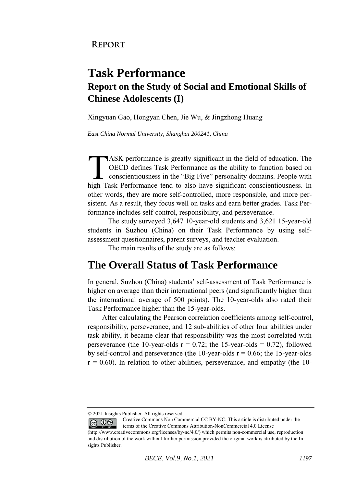## **Task Performance Report on the Study of Social and Emotional Skills of Chinese Adolescents (I)**

Xingyuan Gao, Hongyan Chen, Jie Wu, & Jingzhong Huang

*East China Normal University, Shanghai 200241, China* 

ASK performance is greatly significant in the field of education. The OECD defines Task Performance as the ability to function based on conscientiousness in the "Big Five" personality domains. People with ASK performance is greatly significant in the field of education. The OECD defines Task Performance as the ability to function based on conscientiousness in the "Big Five" personality domains. People with high Task Perform other words, they are more self-controlled, more responsible, and more persistent. As a result, they focus well on tasks and earn better grades. Task Performance includes self-control, responsibility, and perseverance.

The study surveyed 3,647 10-year-old students and 3,621 15-year-old students in Suzhou (China) on their Task Performance by using selfassessment questionnaires, parent surveys, and teacher evaluation.

The main results of the study are as follows:

## **The Overall Status of Task Performance**

In general, Suzhou (China) students' self-assessment of Task Performance is higher on average than their international peers (and significantly higher than the international average of 500 points). The 10-year-olds also rated their Task Performance higher than the 15-year-olds.

After calculating the Pearson correlation coefficients among self-control, responsibility, perseverance, and 12 sub-abilities of other four abilities under task ability, it became clear that responsibility was the most correlated with perseverance (the 10-year-olds  $r = 0.72$ ; the 15-year-olds = 0.72), followed by self-control and perseverance (the 10-year-olds  $r = 0.66$ ; the 15-year-olds  $r = 0.60$ ). In relation to other abilities, perseverance, and empathy (the 10-

<sup>© 2021</sup> Insights Publisher. All rights reserved.

Creative Commons Non Commercial CC BY-NC: This article is distributed under the terms of the Creative Commons Attribution-NonCommercial 4.0 License

<sup>(</sup>http://www.creativecommons.org/licenses/by-nc/4.0/) which permits non-commercial use, reproduction and distribution of the work without further permission provided the original work is attributed by the Insights Publisher.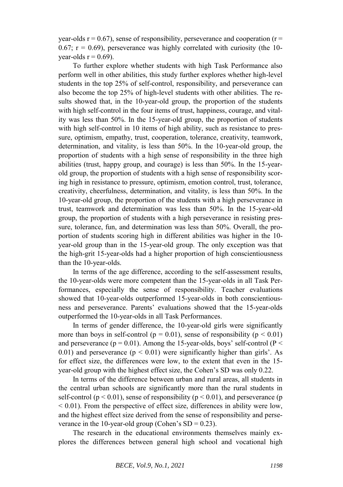year-olds  $r = 0.67$ ), sense of responsibility, perseverance and cooperation ( $r =$ 0.67;  $r = 0.69$ ), perseverance was highly correlated with curiosity (the 10vear-olds  $r = 0.69$ ).

To further explore whether students with high Task Performance also perform well in other abilities, this study further explores whether high-level students in the top 25% of self-control, responsibility, and perseverance can also become the top 25% of high-level students with other abilities. The results showed that, in the 10-year-old group, the proportion of the students with high self-control in the four items of trust, happiness, courage, and vitality was less than 50%. In the 15-year-old group, the proportion of students with high self-control in 10 items of high ability, such as resistance to pressure, optimism, empathy, trust, cooperation, tolerance, creativity, teamwork, determination, and vitality, is less than 50%. In the 10-year-old group, the proportion of students with a high sense of responsibility in the three high abilities (trust, happy group, and courage) is less than 50%. In the 15-yearold group, the proportion of students with a high sense of responsibility scoring high in resistance to pressure, optimism, emotion control, trust, tolerance, creativity, cheerfulness, determination, and vitality, is less than 50%. In the 10-year-old group, the proportion of the students with a high perseverance in trust, teamwork and determination was less than 50%. In the 15-year-old group, the proportion of students with a high perseverance in resisting pressure, tolerance, fun, and determination was less than 50%. Overall, the proportion of students scoring high in different abilities was higher in the 10 year-old group than in the 15-year-old group. The only exception was that the high-grit 15-year-olds had a higher proportion of high conscientiousness than the 10-year-olds.

In terms of the age difference, according to the self-assessment results, the 10-year-olds were more competent than the 15-year-olds in all Task Performances, especially the sense of responsibility. Teacher evaluations showed that 10-year-olds outperformed 15-year-olds in both conscientiousness and perseverance. Parents' evaluations showed that the 15-year-olds outperformed the 10-year-olds in all Task Performances.

In terms of gender difference, the 10-year-old girls were significantly more than boys in self-control ( $p = 0.01$ ), sense of responsibility ( $p \le 0.01$ ) and perseverance ( $p = 0.01$ ). Among the 15-year-olds, boys' self-control ( $P <$ 0.01) and perseverance  $(p < 0.01)$  were significantly higher than girls'. As for effect size, the differences were low, to the extent that even in the 15 year-old group with the highest effect size, the Cohen's SD was only 0.22.

In terms of the difference between urban and rural areas, all students in the central urban schools are significantly more than the rural students in self-control ( $p < 0.01$ ), sense of responsibility ( $p < 0.01$ ), and perseverance (p  $\leq$  0.01). From the perspective of effect size, differences in ability were low, and the highest effect size derived from the sense of responsibility and perseverance in the 10-year-old group (Cohen's  $SD = 0.23$ ).

The research in the educational environments themselves mainly explores the differences between general high school and vocational high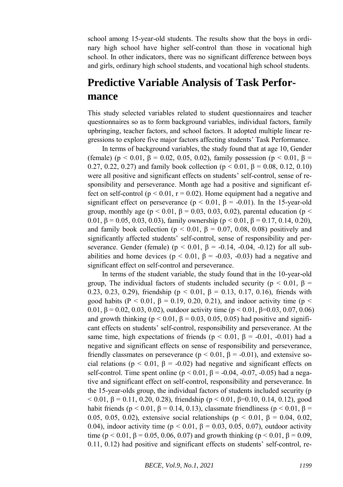school among 15-year-old students. The results show that the boys in ordinary high school have higher self-control than those in vocational high school. In other indicators, there was no significant difference between boys and girls, ordinary high school students, and vocational high school students.

## **Predictive Variable Analysis of Task Performance**

This study selected variables related to student questionnaires and teacher questionnaires so as to form background variables, individual factors, family upbringing, teacher factors, and school factors. It adopted multiple linear regressions to explore five major factors affecting students' Task Performance.

In terms of background variables, the study found that at age 10, Gender (female) (p < 0.01,  $\beta$  = 0.02, 0.05, 0.02), family possession (p < 0.01,  $\beta$  = 0.27, 0.22, 0.27) and family book collection ( $p < 0.01$ ,  $\beta = 0.08$ , 0.12, 0.10) were all positive and significant effects on students' self-control, sense of responsibility and perseverance. Month age had a positive and significant effect on self-control ( $p < 0.01$ ,  $r = 0.02$ ). Home equipment had a negative and significant effect on perseverance ( $p < 0.01$ ,  $\beta = -0.01$ ). In the 15-year-old group, monthly age ( $p < 0.01$ ,  $\beta = 0.03$ , 0.03, 0.02), parental education ( $p <$ 0.01, β = 0.05, 0.03, 0.03), family ownership ( $p < 0.01$ , β = 0.17, 0.14, 0.20), and family book collection ( $p < 0.01$ ,  $\beta = 0.07$ , 0.08, 0.08) positively and significantly affected students' self-control, sense of responsibility and perseverance. Gender (female) ( $p < 0.01$ ,  $\beta = -0.14$ ,  $-0.04$ ,  $-0.12$ ) for all subabilities and home devices ( $p < 0.01$ ,  $\beta = -0.03$ , -0.03) had a negative and significant effect on self-control and perseverance.

In terms of the student variable, the study found that in the 10-year-old group, The individual factors of students included security ( $p < 0.01$ ,  $\beta =$ 0.23, 0.23, 0.29), friendship ( $p < 0.01$ ,  $β = 0.13$ , 0.17, 0.16), friends with good habits (P < 0.01,  $\beta$  = 0.19, 0.20, 0.21), and indoor activity time (p < 0.01, β = 0.02, 0.03, 0.02), outdoor activity time (p < 0.01, β=0.03, 0.07, 0.06) and growth thinking ( $p < 0.01$ ,  $\beta = 0.03$ , 0.05, 0.05) had positive and significant effects on students' self-control, responsibility and perseverance. At the same time, high expectations of friends ( $p < 0.01$ ,  $\beta = -0.01$ , -0.01) had a negative and significant effects on sense of responsibility and perseverance, friendly classmates on perseverance ( $p < 0.01$ ,  $\beta = -0.01$ ), and extensive social relations ( $p < 0.01$ ,  $\beta = -0.02$ ) had negative and significant effects on self-control. Time spent online ( $p < 0.01$ ,  $\beta = -0.04$ ,  $-0.07$ ,  $-0.05$ ) had a negative and significant effect on self-control, responsibility and perseverance. In the 15-year-olds group, the individual factors of students included security (p < 0.01, β = 0.11, 0.20, 0.28), friendship (p < 0.01, β=0.10, 0.14, 0.12), good habit friends (p < 0.01,  $\beta$  = 0.14, 0.13), classmate friendliness (p < 0.01,  $\beta$  = 0.05, 0.05, 0.02), extensive social relationships (p < 0.01, β = 0.04, 0.02, 0.04), indoor activity time ( $p < 0.01$ ,  $\beta = 0.03$ , 0.05, 0.07), outdoor activity time (p < 0.01,  $\beta$  = 0.05, 0.06, 0.07) and growth thinking (p < 0.01,  $\beta$  = 0.09, 0.11, 0.12) had positive and significant effects on students' self-control, re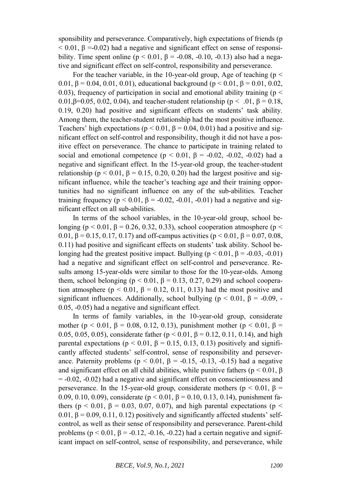sponsibility and perseverance. Comparatively, high expectations of friends (p  $< 0.01$ ,  $\beta = -0.02$ ) had a negative and significant effect on sense of responsibility. Time spent online ( $p \le 0.01$ ,  $\beta = -0.08$ ,  $-0.10$ ,  $-0.13$ ) also had a negative and significant effect on self-control, responsibility and perseverance.

For the teacher variable, in the 10-year-old group, Age of teaching ( $p <$ 0.01, β = 0.04, 0.01, 0.01), educational background ( $p < 0.01$ , β = 0.01, 0.02, 0.03), frequency of participation in social and emotional ability training ( $p <$ 0.01,β=0.05, 0.02, 0.04), and teacher-student relationship (p < .01, β = 0.18, 0.19, 0.20) had positive and significant effects on students' task ability. Among them, the teacher-student relationship had the most positive influence. Teachers' high expectations ( $p < 0.01$ ,  $\beta = 0.04$ , 0.01) had a positive and significant effect on self-control and responsibility, though it did not have a positive effect on perseverance. The chance to participate in training related to social and emotional competence ( $p < 0.01$ ,  $\beta = -0.02$ , -0.02, -0.02) had a negative and significant effect. In the 15-year-old group, the teacher-student relationship ( $p < 0.01$ ,  $\beta = 0.15$ , 0.20, 0.20) had the largest positive and significant influence, while the teacher's teaching age and their training opportunities had no significant influence on any of the sub-abilities. Teacher training frequency ( $p < 0.01$ ,  $\beta = -0.02$ ,  $-0.01$ ,  $-0.01$ ) had a negative and significant effect on all sub-abilities.

In terms of the school variables, in the 10-year-old group, school belonging ( $p < 0.01$ ,  $\beta = 0.26$ , 0.32, 0.33), school cooperation atmosphere ( $p <$ 0.01, β = 0.15, 0.17, 0.17) and off-campus activities ( $p < 0.01$ , β = 0.07, 0.08, 0.11) had positive and significant effects on students' task ability. School belonging had the greatest positive impact. Bullying ( $p < 0.01$ ,  $\beta = -0.03$ ,  $-0.01$ ) had a negative and significant effect on self-control and perseverance. Results among 15-year-olds were similar to those for the 10-year-olds. Among them, school belonging ( $p < 0.01$ ,  $\beta = 0.13$ , 0.27, 0.29) and school cooperation atmosphere ( $p < 0.01$ ,  $\beta = 0.12$ , 0.11, 0.13) had the most positive and significant influences. Additionally, school bullying ( $p < 0.01$ ,  $\beta = -0.09$ , -0.05, -0.05) had a negative and significant effect.

In terms of family variables, in the 10-year-old group, considerate mother (p < 0.01,  $\beta$  = 0.08, 0.12, 0.13), punishment mother (p < 0.01,  $\beta$  = 0.05, 0.05, 0.05), considerate father ( $p < 0.01$ ,  $\beta = 0.12$ , 0.11, 0.14), and high parental expectations ( $p < 0.01$ ,  $\beta = 0.15$ , 0.13, 0.13) positively and significantly affected students' self-control, sense of responsibility and perseverance. Paternity problems ( $p < 0.01$ ,  $\beta = -0.15$ ,  $-0.13$ ,  $-0.15$ ) had a negative and significant effect on all child abilities, while punitive fathers ( $p < 0.01$ ,  $\beta$ )  $= -0.02, -0.02$ ) had a negative and significant effect on conscientiousness and perseverance. In the 15-year-old group, considerate mothers ( $p < 0.01$ ,  $\beta =$ 0.09, 0.10, 0.09), considerate ( $p < 0.01$ ,  $β = 0.10$ , 0.13, 0.14), punishment fathers ( $p < 0.01$ ,  $\beta = 0.03$ , 0.07, 0.07), and high parental expectations ( $p <$ 0.01,  $\beta$  = 0.09, 0.11, 0.12) positively and significantly affected students' selfcontrol, as well as their sense of responsibility and perseverance. Parent-child problems ( $p < 0.01$ ,  $\beta = -0.12$ ,  $-0.16$ ,  $-0.22$ ) had a certain negative and significant impact on self-control, sense of responsibility, and perseverance, while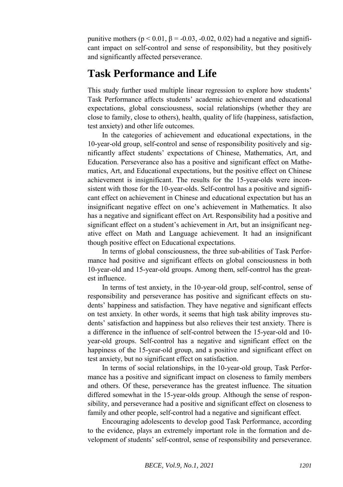punitive mothers ( $p < 0.01$ ,  $\beta = -0.03$ ,  $-0.02$ ,  $0.02$ ) had a negative and significant impact on self-control and sense of responsibility, but they positively and significantly affected perseverance.

## **Task Performance and Life**

This study further used multiple linear regression to explore how students' Task Performance affects students' academic achievement and educational expectations, global consciousness, social relationships (whether they are close to family, close to others), health, quality of life (happiness, satisfaction, test anxiety) and other life outcomes.

In the categories of achievement and educational expectations, in the 10-year-old group, self-control and sense of responsibility positively and significantly affect students' expectations of Chinese, Mathematics, Art, and Education. Perseverance also has a positive and significant effect on Mathematics, Art, and Educational expectations, but the positive effect on Chinese achievement is insignificant. The results for the 15-year-olds were inconsistent with those for the 10-year-olds. Self-control has a positive and significant effect on achievement in Chinese and educational expectation but has an insignificant negative effect on one's achievement in Mathematics. It also has a negative and significant effect on Art. Responsibility had a positive and significant effect on a student's achievement in Art, but an insignificant negative effect on Math and Language achievement. It had an insignificant though positive effect on Educational expectations.

In terms of global consciousness, the three sub-abilities of Task Performance had positive and significant effects on global consciousness in both 10-year-old and 15-year-old groups. Among them, self-control has the greatest influence.

In terms of test anxiety, in the 10-year-old group, self-control, sense of responsibility and perseverance has positive and significant effects on students' happiness and satisfaction. They have negative and significant effects on test anxiety. In other words, it seems that high task ability improves students' satisfaction and happiness but also relieves their test anxiety. There is a difference in the influence of self-control between the 15-year-old and 10 year-old groups. Self-control has a negative and significant effect on the happiness of the 15-year-old group, and a positive and significant effect on test anxiety, but no significant effect on satisfaction.

In terms of social relationships, in the 10-year-old group, Task Performance has a positive and significant impact on closeness to family members and others. Of these, perseverance has the greatest influence. The situation differed somewhat in the 15-year-olds group. Although the sense of responsibility, and perseverance had a positive and significant effect on closeness to family and other people, self-control had a negative and significant effect.

Encouraging adolescents to develop good Task Performance, according to the evidence, plays an extremely important role in the formation and development of students' self-control, sense of responsibility and perseverance.